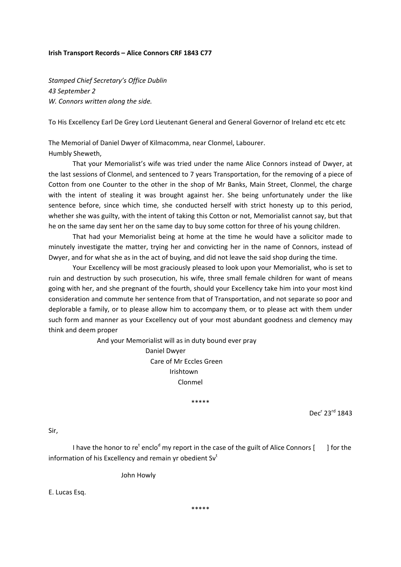## **Irish Transport Records – Alice Connors CRF 1843 C77**

*Stamped Chief Secretary's Office Dublin 43 September 2 W. Connors written along the side.*

To His Excellency Earl De Grey Lord Lieutenant General and General Governor of Ireland etc etc etc

The Memorial of Daniel Dwyer of Kilmacomma, near Clonmel, Labourer. Humbly Sheweth,

That your Memorialist's wife was tried under the name Alice Connors instead of Dwyer, at the last sessions of Clonmel, and sentenced to 7 years Transportation, for the removing of a piece of Cotton from one Counter to the other in the shop of Mr Banks, Main Street, Clonmel, the charge with the intent of stealing it was brought against her. She being unfortunately under the like sentence before, since which time, she conducted herself with strict honesty up to this period, whether she was guilty, with the intent of taking this Cotton or not, Memorialist cannot say, but that he on the same day sent her on the same day to buy some cotton for three of his young children.

That had your Memorialist being at home at the time he would have a solicitor made to minutely investigate the matter, trying her and convicting her in the name of Connors, instead of Dwyer, and for what she as in the act of buying, and did not leave the said shop during the time.

Your Excellency will be most graciously pleased to look upon your Memorialist, who is set to ruin and destruction by such prosecution, his wife, three small female children for want of means going with her, and she pregnant of the fourth, should your Excellency take him into your most kind consideration and commute her sentence from that of Transportation, and not separate so poor and deplorable a family, or to please allow him to accompany them, or to please act with them under such form and manner as your Excellency out of your most abundant goodness and clemency may think and deem proper

And your Memorialist will as in duty bound ever pray

 Daniel Dwyer Care of Mr Eccles Green Irishtown Clonmel

\*\*\*\*\*

Dec<sup>r</sup> 23<sup>rd</sup> 1843

Sir,

I have the honor to re<sup>t</sup> enclo<sup>d</sup> my report in the case of the guilt of Alice Connors [  $\qquad$  ] for the information of his Excellency and remain yr obedient  $Sv<sup>t</sup>$ 

John Howly

E. Lucas Esq.

\*\*\*\*\*